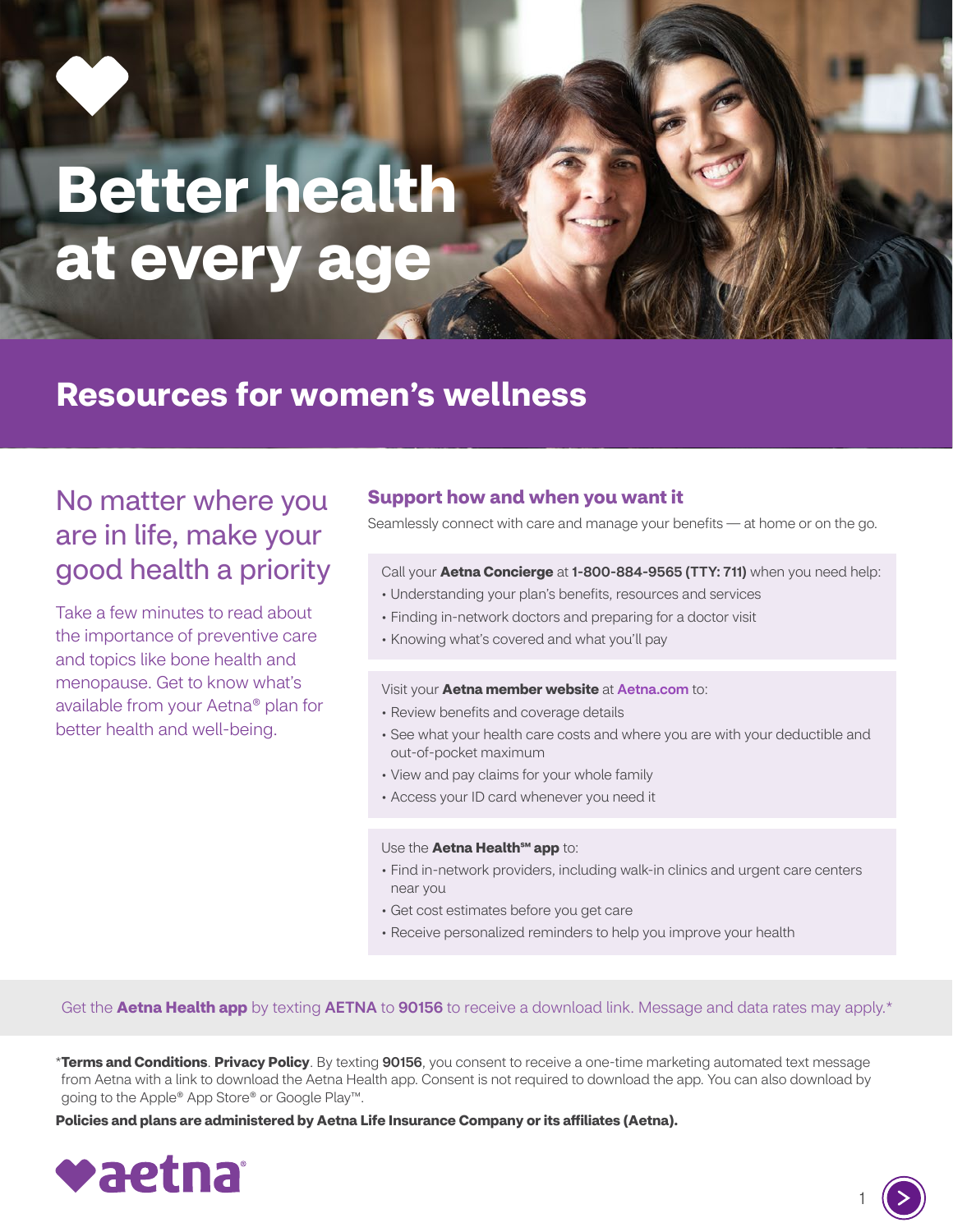# **Better health at every age**

# **Resources for women's wellness**

# No matter where you are in life, make your good health a priority

Take a few minutes to read about the importance of preventive care and topics like bone health and menopause. Get to know what's available from your Aetna® plan for better health and well-being.

### **Support how and when you want it**

Seamlessly connect with care and manage your benefits — at home or on the go.

#### Call your **Aetna Concierge** at 1-800-884-9565 (TTY: 711) when you need help:

- Understanding your plan's benefits, resources and services
- Finding in-network doctors and preparing for a doctor visit
- Knowing what's covered and what you'll pay

#### Visit your **Aetna member website** at [Aetna.com](http://Aetna.com) to:

- Review benefits and coverage details
- See what your health care costs and where you are with your deductible and out-of-pocket maximum
- View and pay claims for your whole family
- Access your ID card whenever you need it

#### Use the **Aetna Health<sup>SM</sup> app** to:

- Find in-network providers, including walk-in clinics and urgent care centers near you
- Get cost estimates before you get care
- Receive personalized reminders to help you improve your health

Get the **Aetna Health app** by texting **AETNA** to **90156** to receive a download link. Message and data rates may apply.\*

\***[Terms and Conditions](http://aet.na/Terms)**. **[Privacy Policy](http://Aetna.com/legal-notices/privacy.html)**. By texting 90156, you consent to receive a one-time marketing automated text message from Aetna with a link to download the Aetna Health app. Consent is not required to download the app. You can also download by going to the Apple® App Store® or Google Play™.

**Policies and plans are administered by Aetna Life Insurance Company or its affiliates (Aetna).**



1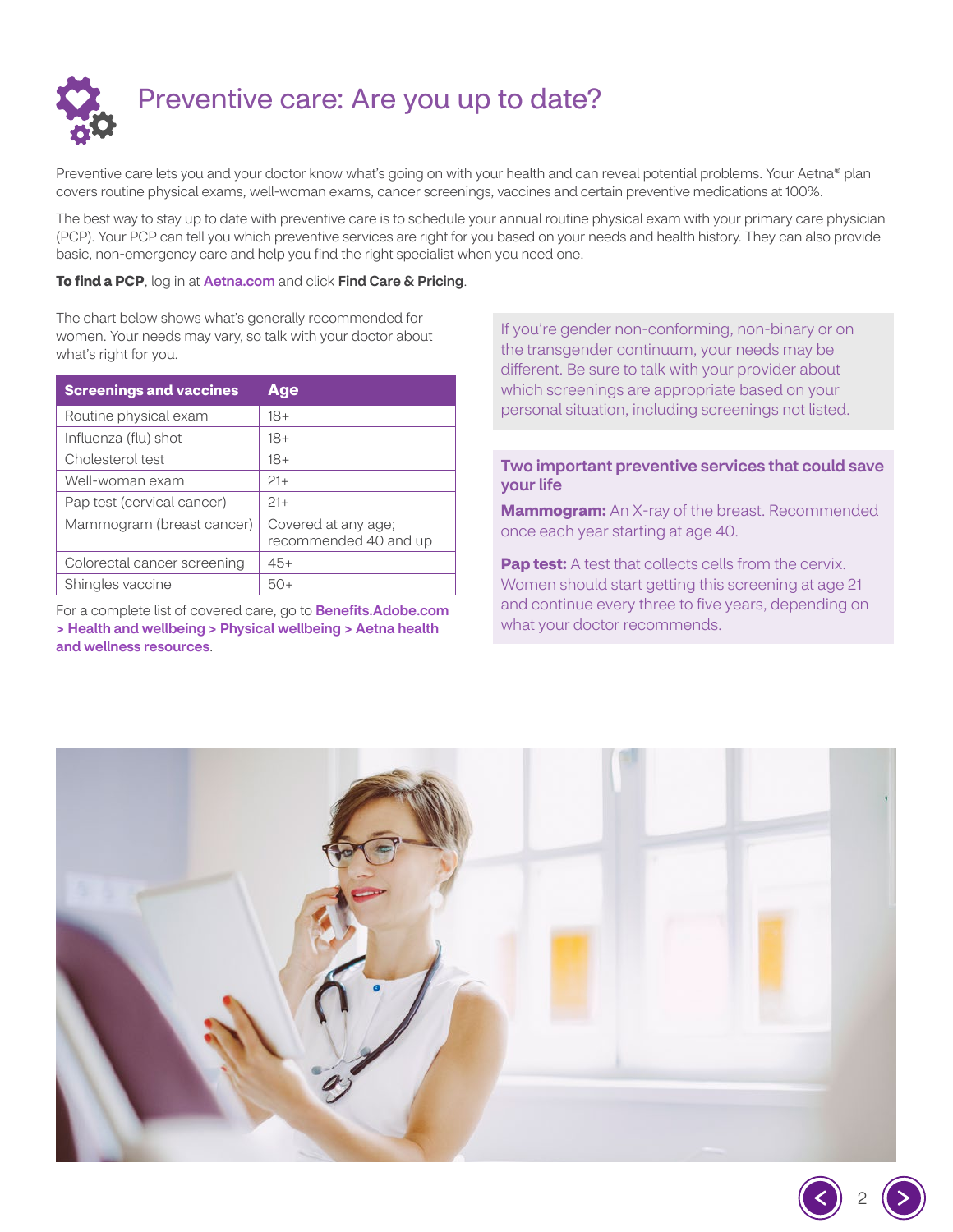

Preventive care lets you and your doctor know what's going on with your health and can reveal potential problems. Your Aetna® plan covers routine physical exams, well-woman exams, cancer screenings, vaccines and certain preventive medications at 100%.

The best way to stay up to date with preventive care is to schedule your annual routine physical exam with your primary care physician (PCP). Your PCP can tell you which preventive services are right for you based on your needs and health history. They can also provide basic, non-emergency care and help you find the right specialist when you need one.

#### **To find a PCP**, log in at [Aetna.com](http://Aetna.com) and click Find Care & Pricing.

The chart below shows what's generally recommended for women. Your needs may vary, so talk with your doctor about what's right for you.

| <b>Screenings and vaccines</b> | Age                                          |
|--------------------------------|----------------------------------------------|
| Routine physical exam          | $18+$                                        |
| Influenza (flu) shot           | $18+$                                        |
| Cholesterol test               | $18+$                                        |
| Well-woman exam                | $21+$                                        |
| Pap test (cervical cancer)     | $21+$                                        |
| Mammogram (breast cancer)      | Covered at any age;<br>recommended 40 and up |
| Colorectal cancer screening    | $45+$                                        |
| Shingles vaccine               | 50+                                          |

For a complete list of covered care, go to **[Benefits.Adobe.com](https://benefits.adobe.com/us/health-and-wellbeing/physical-wellbeing#AetnaHealth)** [> Health and wellbeing > Physical wellbeing > Aetna health](https://benefits.adobe.com/us/health-and-wellbeing/physical-wellbeing#AetnaHealth)  [and wellness resources](https://benefits.adobe.com/us/health-and-wellbeing/physical-wellbeing#AetnaHealth).

If you're gender non-conforming, non-binary or on the transgender continuum, your needs may be different. Be sure to talk with your provider about which screenings are appropriate based on your personal situation, including screenings not listed.

#### Two important preventive services that could save your life

**Mammogram:** An X-ray of the breast. Recommended once each year starting at age 40.

**Pap test:** A test that collects cells from the cervix. Women should start getting this screening at age 21 and continue every three to five years, depending on what your doctor recommends.



2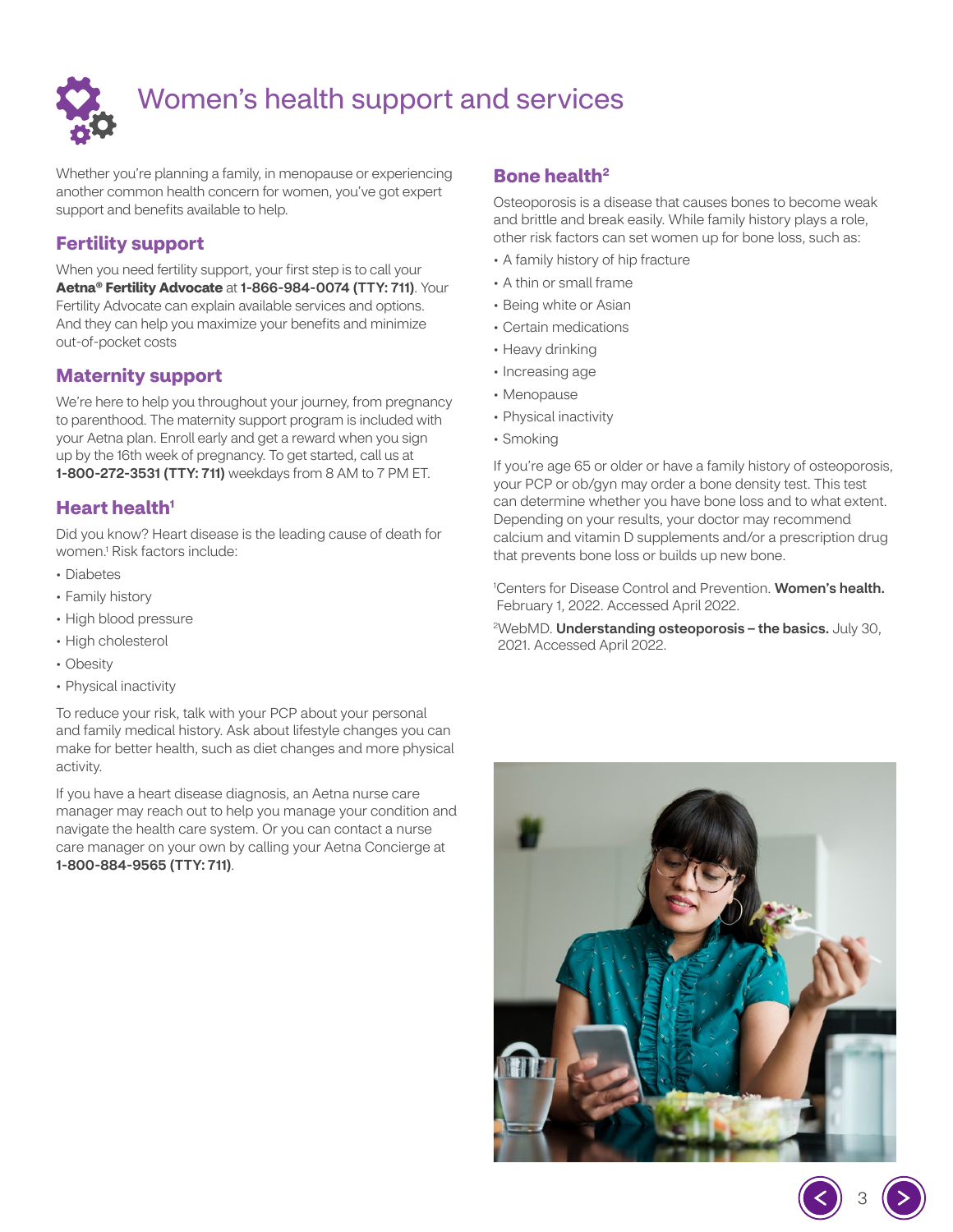

# Women's health support and services

Whether you're planning a family, in menopause or experiencing another common health concern for women, you've got expert support and benefits available to help.

# **Fertility support**

When you need fertility support, your first step is to call your **Aetna® Fertility Advocate** at 1-866-984-0074 (TTY: 711). Your Fertility Advocate can explain available services and options. And they can help you maximize your benefits and minimize out-of-pocket costs

# **Maternity support**

We're here to help you throughout your journey, from pregnancy to parenthood. The maternity support program is included with your Aetna plan. Enroll early and get a reward when you sign up by the 16th week of pregnancy. To get started, call us at 1-800-272-3531 (TTY: 711) weekdays from 8 AM to 7 PM ET.

# **Heart health<sup>1</sup>**

Did you know? Heart disease is the leading cause of death for women.1 Risk factors include:

- Diabetes
- Family history
- High blood pressure
- High cholesterol
- Obesity
- Physical inactivity

To reduce your risk, talk with your PCP about your personal and family medical history. Ask about lifestyle changes you can make for better health, such as diet changes and more physical activity.

If you have a heart disease diagnosis, an Aetna nurse care manager may reach out to help you manage your condition and navigate the health care system. Or you can contact a nurse care manager on your own by calling your Aetna Concierge at 1-800-884-9565 (TTY: 711).

# **Bone health2**

Osteoporosis is a disease that causes bones to become weak and brittle and break easily. While family history plays a role, other risk factors can set women up for bone loss, such as:

- A family history of hip fracture
- A thin or small frame
- Being white or Asian
- Certain medications
- Heavy drinking
- Increasing age
- Menopause
- Physical inactivity
- Smoking

If you're age 65 or older or have a family history of osteoporosis, your PCP or ob/gyn may order a bone density test. This test can determine whether you have bone loss and to what extent. Depending on your results, your doctor may recommend calcium and vitamin D supplements and/or a prescription drug that prevents bone loss or builds up new bone.

<sup>1</sup>Centers for Disease Control and Prevention. [Women's](https://www.cdc.gov/nchs/fastats/womens-health.htm) health. February 1, 2022. Accessed April 2022.

<sup>2</sup>WebMD. [Understanding](https://www.webmd.com/osteoporosis/understanding-osteoporosis-basics#091e9c5e80007edd-1-1) osteoporosis – the basics. July 30, 2021. Accessed April 2022.

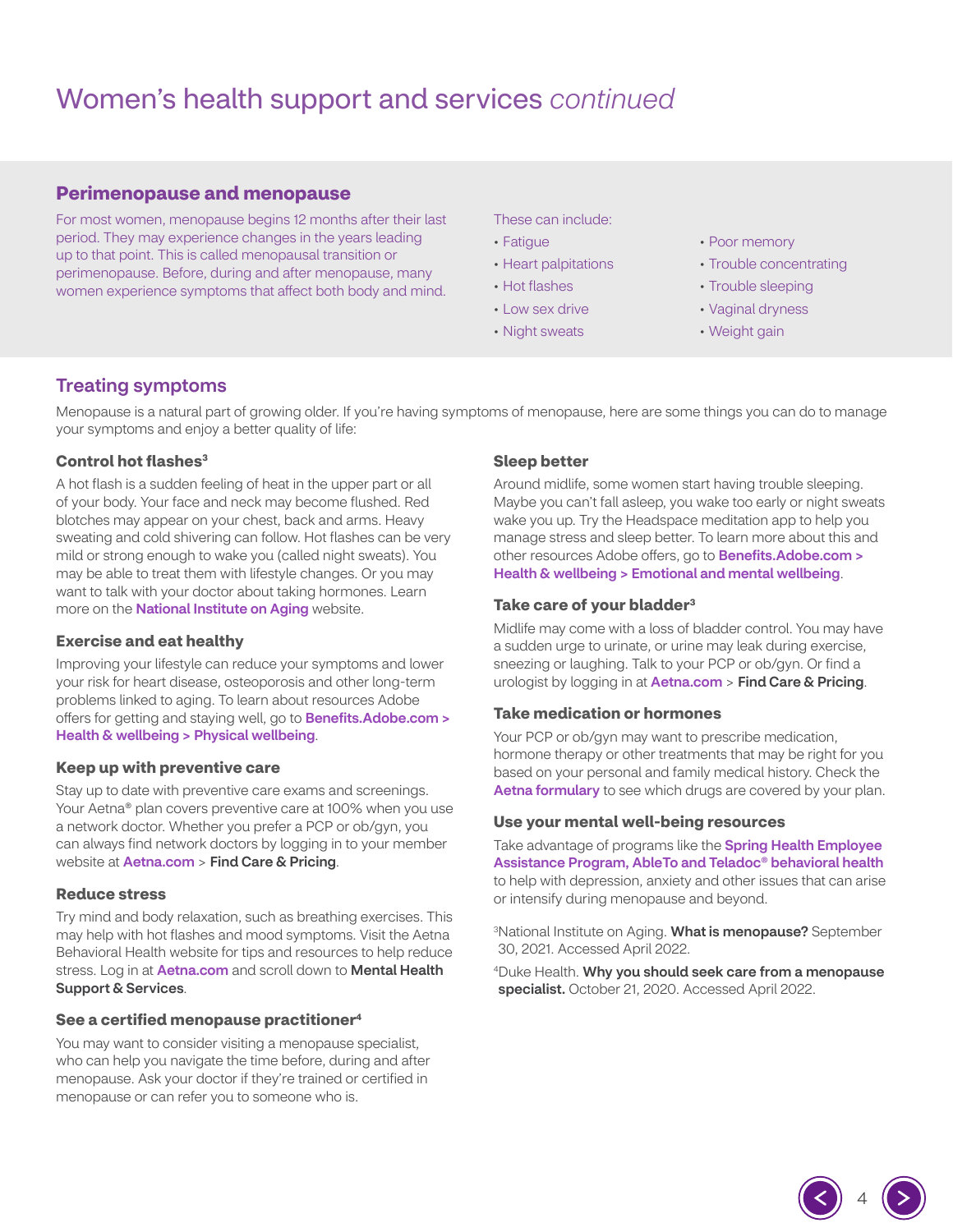# Women's health support and services *continued*

#### **Perimenopause and menopause**

For most women, menopause begins 12 months after their last period. They may experience changes in the years leading up to that point. This is called menopausal transition or perimenopause. Before, during and after menopause, many women experience symptoms that affect both body and mind.

#### These can include:

- Fatigue
- Heart palpitations
- Hot flashes
- Low sex drive
- Night sweats
- Poor memory
- Trouble concentrating
- Trouble sleeping
- Vaginal dryness
- Weight gain

### Treating symptoms

Menopause is a natural part of growing older. If you're having symptoms of menopause, here are some things you can do to manage your symptoms and enjoy a better quality of life:

#### **Control hot flashes<sup>3</sup>**

A hot flash is a sudden feeling of heat in the upper part or all of your body. Your face and neck may become flushed. Red blotches may appear on your chest, back and arms. Heavy sweating and cold shivering can follow. Hot flashes can be very mild or strong enough to wake you (called night sweats). You may be able to treat them with lifestyle changes. Or you may want to talk with your doctor about taking hormones. Learn more on the **[National Institute on Aging](https://www.nia.nih.gov/health/hot-flashes-what-can-i-do)** website.

#### **Exercise and eat healthy**

Improving your lifestyle can reduce your symptoms and lower your risk for heart disease, osteoporosis and other long-term problems linked to aging. To learn about resources Adobe offers for getting and staying well, go to **[Benefits.Adobe.com](https://benefits.adobe.com/us/health-and-wellbeing/physical-wellbeing) >** [Health & wellbeing > Physical wellbeing](https://benefits.adobe.com/us/health-and-wellbeing/physical-wellbeing).

#### **Keep up with preventive care**

Stay up to date with preventive care exams and screenings. Your Aetna® plan covers preventive care at 100% when you use a network doctor. Whether you prefer a PCP or ob/gyn, you can always find network doctors by logging in to your member website at [Aetna.com](http://Aetna.com) > Find Care & Pricing.

#### **Reduce stress**

Try mind and body relaxation, such as breathing exercises. This may help with hot flashes and mood symptoms. Visit the Aetna Behavioral Health website for tips and resources to help reduce stress. Log in at [Aetna.com](http://Aetna.com) and scroll down to Mental Health Support & Services.

#### **See a certified menopause practitioner<sup>4</sup>**

You may want to consider visiting a menopause specialist, who can help you navigate the time before, during and after menopause. Ask your doctor if they're trained or certified in menopause or can refer you to someone who is.

#### **Sleep better**

Around midlife, some women start having trouble sleeping. Maybe you can't fall asleep, you wake too early or night sweats wake you up. Try the Headspace meditation app to help you manage stress and sleep better. To learn more about this and other resources Adobe offers, go to **Benefits.Adobe.com >** [Health & wellbeing > Emotional and mental wellbeing](https://benefits.adobe.com/us/health-and-wellbeing/emotional-and-mental-wellbeing).

#### **Take care of your bladder3**

Midlife may come with a loss of bladder control. You may have a sudden urge to urinate, or urine may leak during exercise, sneezing or laughing. Talk to your PCP or ob/gyn. Or find a urologist by logging in at **[Aetna.com](http://Aetna.com) > Find Care & Pricing.** 

#### **Take medication or hormones**

Your PCP or ob/gyn may want to prescribe medication, hormone therapy or other treatments that may be right for you based on your personal and family medical history. Check the [Aetna formulary](https://www.aetna.com/individuals-families/find-a-medication/2022-standard-opt-out-plan.html) to see which drugs are covered by your plan.

#### **Use your mental well-being resources**

Take advantage of programs like the **Spring Health Employee** [Assistance Program, AbleTo and Teladoc](#page-5-0)® behavioral health to help with depression, anxiety and other issues that can arise or intensify during menopause and beyond.

<sup>3</sup>National Institute on Aging. **What is [menopause?](https://www.nia.nih.gov/health/what-menopause)** September 30, 2021. Accessed April 2022.

4Duke Health. Why you should seek care from a [menopause](https://www.dukehealth.org/blog/why-you-should-seek-care-menopause-specialist) [specialist.](https://www.dukehealth.org/blog/why-you-should-seek-care-menopause-specialist) October 21, 2020. Accessed April 2022.

4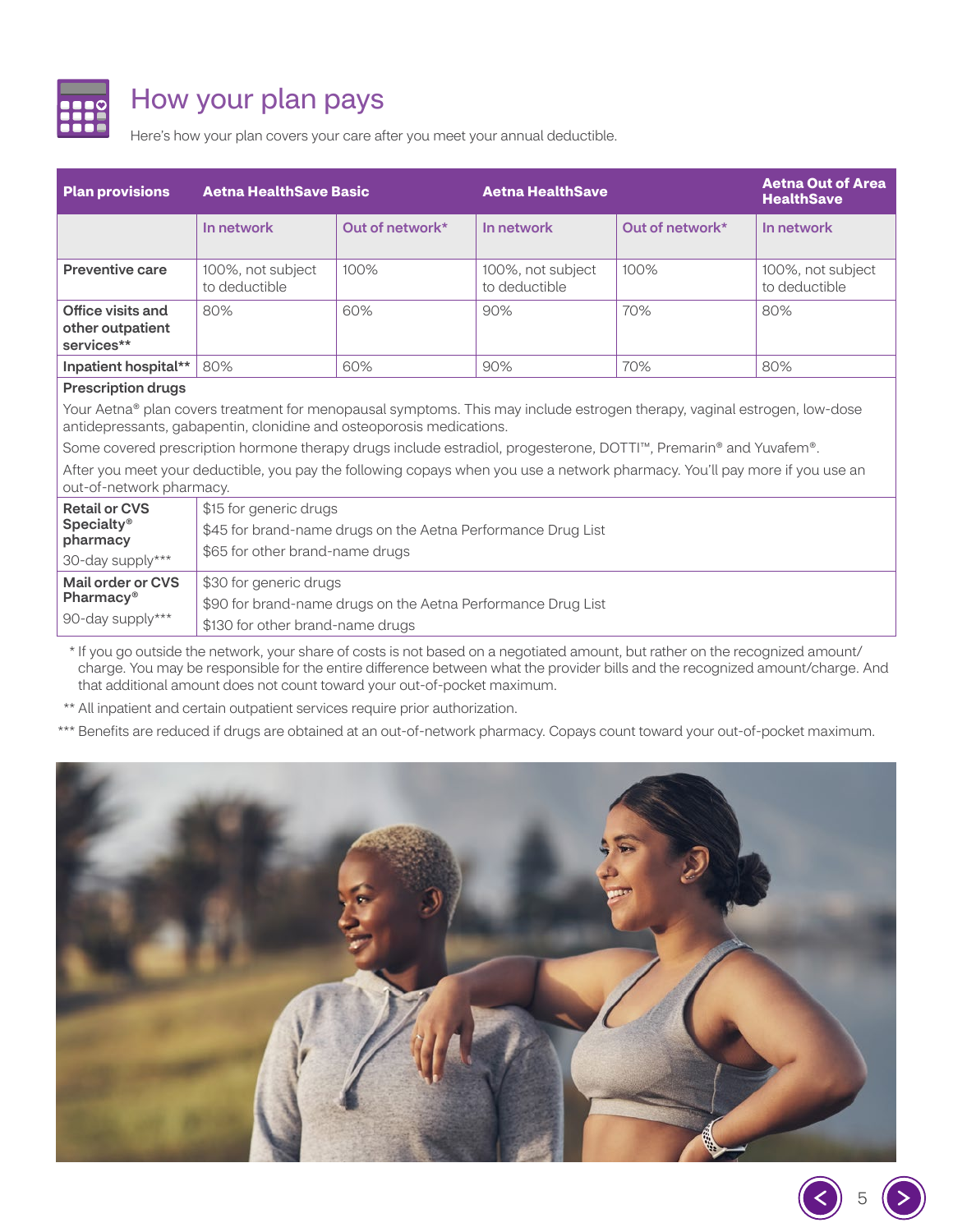

# How your plan pays

Here's how your plan covers your care after you meet your annual deductible.

| <b>Plan provisions</b>                                                                                                                                                                           | <b>Aetna HealthSave Basic</b>                                |                 | <b>Aetna HealthSave</b>            |                 | <b>Aetna Out of Area</b><br><b>HealthSave</b> |  |
|--------------------------------------------------------------------------------------------------------------------------------------------------------------------------------------------------|--------------------------------------------------------------|-----------------|------------------------------------|-----------------|-----------------------------------------------|--|
|                                                                                                                                                                                                  | In network                                                   | Out of network* | In network                         | Out of network* | In network                                    |  |
| <b>Preventive care</b>                                                                                                                                                                           | 100%, not subject<br>to deductible                           | 100%            | 100%, not subject<br>to deductible | 100%            | 100%, not subject<br>to deductible            |  |
| Office visits and<br>other outpatient<br>services**                                                                                                                                              | 80%                                                          | 60%             | 90%                                | 70%             | 80%                                           |  |
| Inpatient hospital**                                                                                                                                                                             | 80%                                                          | 60%             | 90%                                | 70%             | 80%                                           |  |
| <b>Prescription drugs</b>                                                                                                                                                                        |                                                              |                 |                                    |                 |                                               |  |
| Your Aetna® plan covers treatment for menopausal symptoms. This may include estrogen therapy, vaginal estrogen, low-dose<br>antidepressants, gabapentin, clonidine and osteoporosis medications. |                                                              |                 |                                    |                 |                                               |  |
| Some covered prescription hormone therapy drugs include estradiol, progesterone, DOTTI™, Premarin® and Yuvafem®.                                                                                 |                                                              |                 |                                    |                 |                                               |  |
| After you meet your deductible, you pay the following copays when you use a network pharmacy. You'll pay more if you use an<br>out-of-network pharmacy.                                          |                                                              |                 |                                    |                 |                                               |  |
| <b>Retail or CVS</b>                                                                                                                                                                             | \$15 for generic drugs                                       |                 |                                    |                 |                                               |  |
| <b>Specialty®</b><br>pharmacy                                                                                                                                                                    | \$45 for brand-name drugs on the Aetna Performance Drug List |                 |                                    |                 |                                               |  |
| 30-day supply***                                                                                                                                                                                 | \$65 for other brand-name drugs                              |                 |                                    |                 |                                               |  |
| <b>Mail order or CVS</b>                                                                                                                                                                         | \$30 for generic drugs                                       |                 |                                    |                 |                                               |  |
| Pharmacy <sup>®</sup>                                                                                                                                                                            | \$90 for brand-name drugs on the Aetna Performance Drug List |                 |                                    |                 |                                               |  |
| 90-day supply***                                                                                                                                                                                 | \$130 for other brand-name drugs                             |                 |                                    |                 |                                               |  |

\* If you go outside the network, your share of costs is not based on a negotiated amount, but rather on the recognized amount/ charge. You may be responsible for the entire difference between what the provider bills and the recognized amount/charge. And that additional amount does not count toward your out-of-pocket maximum.

\*\* All inpatient and certain outpatient services require prior authorization.

\*\*\* Benefits are reduced if drugs are obtained at an out-of-network pharmacy. Copays count toward your out-of-pocket maximum.